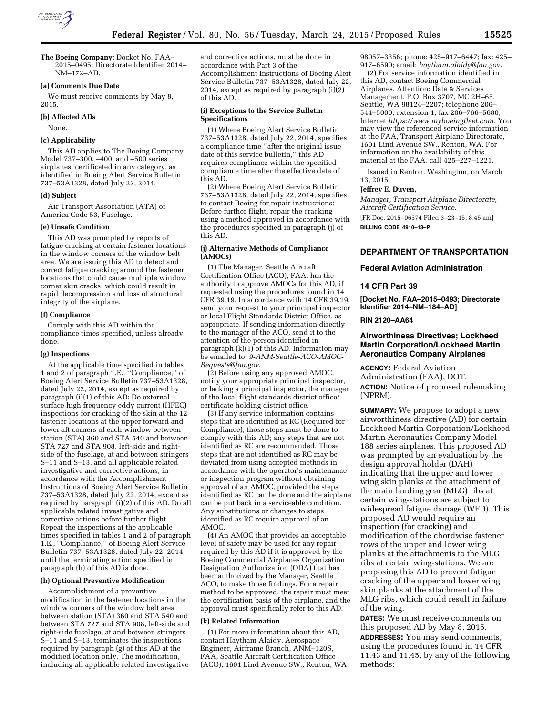

**The Boeing Company:** Docket No. FAA– 2015–0495; Directorate Identifier 2014– NM–172–AD.

#### **(a) Comments Due Date**

We must receive comments by May 8, 2015.

#### **(b) Affected ADs**

None.

#### **(c) Applicability**

This AD applies to The Boeing Company Model 737–300, –400, and –500 series airplanes, certificated in any category, as identified in Boeing Alert Service Bulletin 737–53A1328, dated July 22, 2014.

#### **(d) Subject**

Air Transport Association (ATA) of America Code 53, Fuselage.

### **(e) Unsafe Condition**

This AD was prompted by reports of fatigue cracking at certain fastener locations in the window corners of the window belt area. We are issuing this AD to detect and correct fatigue cracking around the fastener locations that could cause multiple window corner skin cracks, which could result in rapid decompression and loss of structural integrity of the airplane.

#### **(f) Compliance**

Comply with this AD within the compliance times specified, unless already done.

#### **(g) Inspections**

At the applicable time specified in tables 1 and 2 of paragraph 1.E., ''Compliance,'' of Boeing Alert Service Bulletin 737–53A1328, dated July 22, 2014, except as required by paragraph (i)(1) of this AD: Do external surface high frequency eddy current (HFEC) inspections for cracking of the skin at the 12 fastener locations at the upper forward and lower aft corners of each window between station (STA) 360 and STA 540 and between STA 727 and STA 908, left-side and rightside of the fuselage, at and between stringers S–11 and S–13, and all applicable related investigative and corrective actions, in accordance with the Accomplishment Instructions of Boeing Alert Service Bulletin 737–53A1328, dated July 22, 2014, except as required by paragraph (i)(2) of this AD. Do all applicable related investigative and corrective actions before further flight. Repeat the inspections at the applicable times specified in tables 1 and 2 of paragraph 1.E., ''Compliance,'' of Boeing Alert Service Bulletin 737–53A1328, dated July 22, 2014, until the terminating action specified in paragraph (h) of this AD is done.

### **(h) Optional Preventive Modification**

Accomplishment of a preventive modification in the fastener locations in the window corners of the window belt area between station (STA) 360 and STA 540 and between STA 727 and STA 908, left-side and right-side fuselage, at and between stringers S–11 and S–13, terminates the inspections required by paragraph (g) of this AD at the modified location only. The modification, including all applicable related investigative and corrective actions, must be done in accordance with Part 3 of the Accomplishment Instructions of Boeing Alert Service Bulletin 737–53A1328, dated July 22, 2014, except as required by paragraph (i)(2) of this AD.

## **(i) Exceptions to the Service Bulletin Specifications**

(1) Where Boeing Alert Service Bulletin 737–53A1328, dated July 22, 2014, specifies a compliance time ''after the original issue date of this service bulletin,'' this AD requires compliance within the specified compliance time after the effective date of this AD.

(2) Where Boeing Alert Service Bulletin 737–53A1328, dated July 22, 2014, specifies to contact Boeing for repair instructions: Before further flight, repair the cracking using a method approved in accordance with the procedures specified in paragraph (j) of this AD.

# **(j) Alternative Methods of Compliance (AMOCs)**

(1) The Manager, Seattle Aircraft Certification Office (ACO), FAA, has the authority to approve AMOCs for this AD, if requested using the procedures found in 14 CFR 39.19. In accordance with 14 CFR 39.19, send your request to your principal inspector or local Flight Standards District Office, as appropriate. If sending information directly to the manager of the ACO, send it to the attention of the person identified in paragraph  $(k)(1)$  of this AD. Information may be emailed to: *[9-ANM-Seattle-ACO-AMOC-](mailto:9-ANM-Seattle-ACO-AMOC-Requests@faa.gov)[Requests@faa.gov](mailto:9-ANM-Seattle-ACO-AMOC-Requests@faa.gov)*.

(2) Before using any approved AMOC, notify your appropriate principal inspector, or lacking a principal inspector, the manager of the local flight standards district office/ certificate holding district office.

(3) If any service information contains steps that are identified as RC (Required for Compliance), those steps must be done to comply with this AD; any steps that are not identified as RC are recommended. Those steps that are not identified as RC may be deviated from using accepted methods in accordance with the operator's maintenance or inspection program without obtaining approval of an AMOC, provided the steps identified as RC can be done and the airplane can be put back in a serviceable condition. Any substitutions or changes to steps identified as RC require approval of an AMOC.

(4) An AMOC that provides an acceptable level of safety may be used for any repair required by this AD if it is approved by the Boeing Commercial Airplanes Organization Designation Authorization (ODA) that has been authorized by the Manager, Seattle ACO, to make those findings. For a repair method to be approved, the repair must meet the certification basis of the airplane, and the approval must specifically refer to this AD.

#### **(k) Related Information**

(1) For more information about this AD, contact Haytham Alaidy, Aerospace Engineer, Airframe Branch, ANM–120S, FAA, Seattle Aircraft Certification Office (ACO), 1601 Lind Avenue SW., Renton, WA 98057–3356; phone: 425–917–6447; fax: 425– 917–6590; email: *[haytham.alaidy@faa.gov](mailto:haytham.alaidy@faa.gov)*.

(2) For service information identified in this AD, contact Boeing Commercial Airplanes, Attention: Data & Services Management, P.O. Box 3707, MC 2H–65, Seattle, WA 98124–2207; telephone 206– 544–5000, extension 1; fax 206–766–5680; Internet *[https://www.myboeingfleet.com.](https://www.myboeingfleet.com)* You may view the referenced service information at the FAA, Transport Airplane Directorate, 1601 Lind Avenue SW., Renton, WA. For information on the availability of this material at the FAA, call 425–227–1221.

Issued in Renton, Washington, on March 13, 2015.

#### **Jeffrey E. Duven,**

*Manager, Transport Airplane Directorate, Aircraft Certification Service.* 

[FR Doc. 2015–06574 Filed 3–23–15; 8:45 am] **BILLING CODE 4910–13–P** 

**DEPARTMENT OF TRANSPORTATION** 

### **Federal Aviation Administration**

### **14 CFR Part 39**

**[Docket No. FAA–2015–0493; Directorate Identifier 2014–NM–184–AD]** 

#### **RIN 2120–AA64**

# **Airworthiness Directives; Lockheed Martin Corporation/Lockheed Martin Aeronautics Company Airplanes**

**AGENCY:** Federal Aviation Administration (FAA), DOT. **ACTION:** Notice of proposed rulemaking (NPRM).

**SUMMARY:** We propose to adopt a new airworthiness directive (AD) for certain Lockheed Martin Corporation/Lockheed Martin Aeronautics Company Model 188 series airplanes. This proposed AD was prompted by an evaluation by the design approval holder (DAH) indicating that the upper and lower wing skin planks at the attachment of the main landing gear (MLG) ribs at certain wing-stations are subject to widespread fatigue damage (WFD). This proposed AD would require an inspection (for cracking) and modification of the chordwise fastener rows of the upper and lower wing planks at the attachments to the MLG ribs at certain wing-stations. We are proposing this AD to prevent fatigue cracking of the upper and lower wing skin planks at the attachment of the MLG ribs, which could result in failure of the wing.

**DATES:** We must receive comments on this proposed AD by May 8, 2015. **ADDRESSES:** You may send comments, using the procedures found in 14 CFR 11.43 and 11.45, by any of the following methods: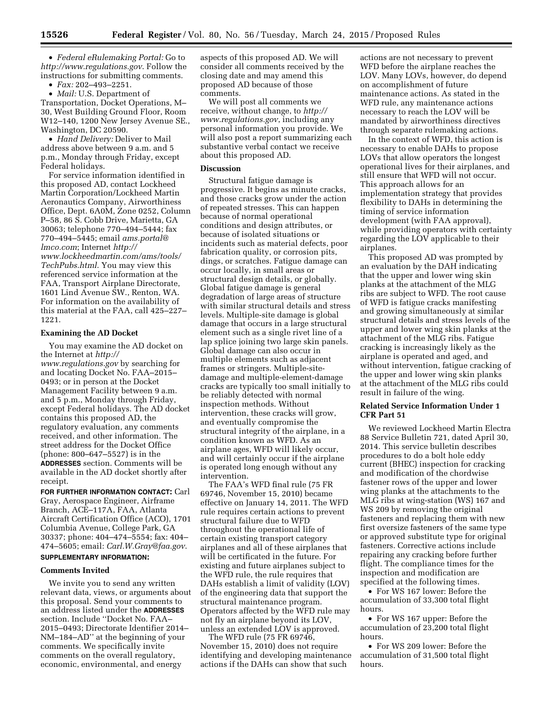• *Federal eRulemaking Portal:* Go to *<http://www.regulations.gov>*. Follow the instructions for submitting comments.

• *Fax:* 202–493–2251.

• *Mail:* U.S. Department of Transportation, Docket Operations, M– 30, West Building Ground Floor, Room W12–140, 1200 New Jersey Avenue SE., Washington, DC 20590.

• *Hand Delivery:* Deliver to Mail address above between 9 a.m. and 5 p.m., Monday through Friday, except Federal holidays.

For service information identified in this proposed AD, contact Lockheed Martin Corporation/Lockheed Martin Aeronautics Company, Airworthiness Office, Dept. 6A0M, Zone 0252, Column P–58, 86 S. Cobb Drive, Marietta, GA 30063; telephone 770–494–5444; fax 770–494–5445; email *[ams.portal@](mailto:ams.portal@lmco.com) [lmco.com](mailto:ams.portal@lmco.com)*; Internet *[http://](http://www.lockheedmartin.com/ams/tools/TechPubs.html) [www.lockheedmartin.com/ams/tools/](http://www.lockheedmartin.com/ams/tools/TechPubs.html) [TechPubs.html](http://www.lockheedmartin.com/ams/tools/TechPubs.html)*. You may view this referenced service information at the FAA, Transport Airplane Directorate, 1601 Lind Avenue SW., Renton, WA. For information on the availability of this material at the FAA, call 425–227– 1221.

# **Examining the AD Docket**

You may examine the AD docket on the Internet at *[http://](http://www.regulations.gov) [www.regulations.gov](http://www.regulations.gov)* by searching for and locating Docket No. FAA–2015– 0493; or in person at the Docket Management Facility between 9 a.m. and 5 p.m., Monday through Friday, except Federal holidays. The AD docket contains this proposed AD, the regulatory evaluation, any comments received, and other information. The street address for the Docket Office (phone: 800–647–5527) is in the **ADDRESSES** section. Comments will be available in the AD docket shortly after receipt.

**FOR FURTHER INFORMATION CONTACT:** Carl Gray, Aerospace Engineer, Airframe Branch, ACE–117A, FAA, Atlanta Aircraft Certification Office (ACO), 1701 Columbia Avenue, College Park, GA 30337; phone: 404–474–5554; fax: 404– 474–5605; email: *[Carl.W.Gray@faa.gov](mailto:Carl.W.Gray@faa.gov)*. **SUPPLEMENTARY INFORMATION:** 

# **Comments Invited**

We invite you to send any written relevant data, views, or arguments about this proposal. Send your comments to an address listed under the **ADDRESSES** section. Include ''Docket No. FAA– 2015–0493; Directorate Identifier 2014– NM–184–AD'' at the beginning of your comments. We specifically invite comments on the overall regulatory, economic, environmental, and energy

aspects of this proposed AD. We will consider all comments received by the closing date and may amend this proposed AD because of those comments.

We will post all comments we receive, without change, to *[http://](http://www.regulations.gov) [www.regulations.gov](http://www.regulations.gov)*, including any personal information you provide. We will also post a report summarizing each substantive verbal contact we receive about this proposed AD.

## **Discussion**

Structural fatigue damage is progressive. It begins as minute cracks, and those cracks grow under the action of repeated stresses. This can happen because of normal operational conditions and design attributes, or because of isolated situations or incidents such as material defects, poor fabrication quality, or corrosion pits, dings, or scratches. Fatigue damage can occur locally, in small areas or structural design details, or globally. Global fatigue damage is general degradation of large areas of structure with similar structural details and stress levels. Multiple-site damage is global damage that occurs in a large structural element such as a single rivet line of a lap splice joining two large skin panels. Global damage can also occur in multiple elements such as adjacent frames or stringers. Multiple-sitedamage and multiple-element-damage cracks are typically too small initially to be reliably detected with normal inspection methods. Without intervention, these cracks will grow, and eventually compromise the structural integrity of the airplane, in a condition known as WFD. As an airplane ages, WFD will likely occur, and will certainly occur if the airplane is operated long enough without any intervention.

The FAA's WFD final rule (75 FR 69746, November 15, 2010) became effective on January 14, 2011. The WFD rule requires certain actions to prevent structural failure due to WFD throughout the operational life of certain existing transport category airplanes and all of these airplanes that will be certificated in the future. For existing and future airplanes subject to the WFD rule, the rule requires that DAHs establish a limit of validity (LOV) of the engineering data that support the structural maintenance program. Operators affected by the WFD rule may not fly an airplane beyond its LOV, unless an extended LOV is approved.

The WFD rule (75 FR 69746, November 15, 2010) does not require identifying and developing maintenance actions if the DAHs can show that such

actions are not necessary to prevent WFD before the airplane reaches the LOV. Many LOVs, however, do depend on accomplishment of future maintenance actions. As stated in the WFD rule, any maintenance actions necessary to reach the LOV will be mandated by airworthiness directives through separate rulemaking actions.

In the context of WFD, this action is necessary to enable DAHs to propose LOVs that allow operators the longest operational lives for their airplanes, and still ensure that WFD will not occur. This approach allows for an implementation strategy that provides flexibility to DAHs in determining the timing of service information development (with FAA approval), while providing operators with certainty regarding the LOV applicable to their airplanes.

This proposed AD was prompted by an evaluation by the DAH indicating that the upper and lower wing skin planks at the attachment of the MLG ribs are subject to WFD. The root cause of WFD is fatigue cracks manifesting and growing simultaneously at similar structural details and stress levels of the upper and lower wing skin planks at the attachment of the MLG ribs. Fatigue cracking is increasingly likely as the airplane is operated and aged, and without intervention, fatigue cracking of the upper and lower wing skin planks at the attachment of the MLG ribs could result in failure of the wing.

# **Related Service Information Under 1 CFR Part 51**

We reviewed Lockheed Martin Electra 88 Service Bulletin 721, dated April 30, 2014. This service bulletin describes procedures to do a bolt hole eddy current (BHEC) inspection for cracking and modification of the chordwise fastener rows of the upper and lower wing planks at the attachments to the MLG ribs at wing-station (WS) 167 and WS 209 by removing the original fasteners and replacing them with new first oversize fasteners of the same type or approved substitute type for original fasteners. Corrective actions include repairing any cracking before further flight. The compliance times for the inspection and modification are specified at the following times.

• For WS 167 lower: Before the accumulation of 33,300 total flight hours.

• For WS 167 upper: Before the accumulation of 23,200 total flight hours.

• For WS 209 lower: Before the accumulation of 31,500 total flight hours.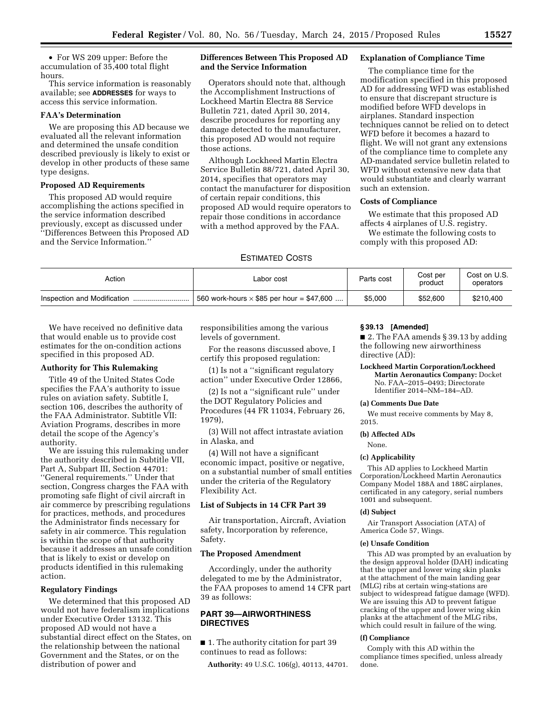• For WS 209 upper: Before the accumulation of 35,400 total flight hours.

This service information is reasonably available; see **ADDRESSES** for ways to access this service information.

## **FAA's Determination**

We are proposing this AD because we evaluated all the relevant information and determined the unsafe condition described previously is likely to exist or develop in other products of these same type designs.

#### **Proposed AD Requirements**

This proposed AD would require accomplishing the actions specified in the service information described previously, except as discussed under ''Differences Between this Proposed AD and the Service Information.''

# **Differences Between This Proposed AD and the Service Information**

Operators should note that, although the Accomplishment Instructions of Lockheed Martin Electra 88 Service Bulletin 721, dated April 30, 2014, describe procedures for reporting any damage detected to the manufacturer, this proposed AD would not require those actions.

Although Lockheed Martin Electra Service Bulletin 88/721, dated April 30, 2014, specifies that operators may contact the manufacturer for disposition of certain repair conditions, this proposed AD would require operators to repair those conditions in accordance with a method approved by the FAA.

# **Explanation of Compliance Time**

The compliance time for the modification specified in this proposed AD for addressing WFD was established to ensure that discrepant structure is modified before WFD develops in airplanes. Standard inspection techniques cannot be relied on to detect WFD before it becomes a hazard to flight. We will not grant any extensions of the compliance time to complete any AD-mandated service bulletin related to WFD without extensive new data that would substantiate and clearly warrant such an extension.

# **Costs of Compliance**

We estimate that this proposed AD affects 4 airplanes of U.S. registry. We estimate the following costs to comply with this proposed AD:

## ESTIMATED COSTS

| Action                      | Labor cost                                       | Parts cost | Cost per<br>product | Cost on U.S.<br>operators |
|-----------------------------|--------------------------------------------------|------------|---------------------|---------------------------|
| Inspection and Modification | 560 work-hours $\times$ \$85 per hour = \$47,600 | \$5,000    | \$52.600            | \$210,400                 |

We have received no definitive data that would enable us to provide cost estimates for the on-condition actions specified in this proposed AD.

# **Authority for This Rulemaking**

Title 49 of the United States Code specifies the FAA's authority to issue rules on aviation safety. Subtitle I, section 106, describes the authority of the FAA Administrator. Subtitle VII: Aviation Programs, describes in more detail the scope of the Agency's authority.

We are issuing this rulemaking under the authority described in Subtitle VII, Part A, Subpart III, Section 44701: ''General requirements.'' Under that section, Congress charges the FAA with promoting safe flight of civil aircraft in air commerce by prescribing regulations for practices, methods, and procedures the Administrator finds necessary for safety in air commerce. This regulation is within the scope of that authority because it addresses an unsafe condition that is likely to exist or develop on products identified in this rulemaking action.

# **Regulatory Findings**

We determined that this proposed AD would not have federalism implications under Executive Order 13132. This proposed AD would not have a substantial direct effect on the States, on the relationship between the national Government and the States, or on the distribution of power and

responsibilities among the various levels of government.

For the reasons discussed above, I certify this proposed regulation:

(1) Is not a ''significant regulatory action'' under Executive Order 12866,

(2) Is not a ''significant rule'' under the DOT Regulatory Policies and Procedures (44 FR 11034, February 26, 1979),

(3) Will not affect intrastate aviation in Alaska, and

(4) Will not have a significant economic impact, positive or negative, on a substantial number of small entities under the criteria of the Regulatory Flexibility Act.

# **List of Subjects in 14 CFR Part 39**

Air transportation, Aircraft, Aviation safety, Incorporation by reference, Safety.

#### **The Proposed Amendment**

Accordingly, under the authority delegated to me by the Administrator, the FAA proposes to amend 14 CFR part 39 as follows:

# **PART 39—AIRWORTHINESS DIRECTIVES**

■ 1. The authority citation for part 39 continues to read as follows:

**Authority:** 49 U.S.C. 106(g), 40113, 44701.

# **§ 39.13 [Amended]**

■ 2. The FAA amends § 39.13 by adding the following new airworthiness directive (AD):

#### **Lockheed Martin Corporation/Lockheed Martin Aeronautics Company:** Docket No. FAA–2015–0493; Directorate Identifier 2014–NM–184–AD.

#### **(a) Comments Due Date**

We must receive comments by May 8, 2015.

### **(b) Affected ADs**

# None.

# **(c) Applicability**

This AD applies to Lockheed Martin Corporation/Lockheed Martin Aeronautics Company Model 188A and 188C airplanes, certificated in any category, serial numbers 1001 and subsequent.

#### **(d) Subject**

Air Transport Association (ATA) of America Code 57, Wings.

#### **(e) Unsafe Condition**

This AD was prompted by an evaluation by the design approval holder (DAH) indicating that the upper and lower wing skin planks at the attachment of the main landing gear (MLG) ribs at certain wing-stations are subject to widespread fatigue damage (WFD). We are issuing this AD to prevent fatigue cracking of the upper and lower wing skin planks at the attachment of the MLG ribs, which could result in failure of the wing.

### **(f) Compliance**

Comply with this AD within the compliance times specified, unless already done.